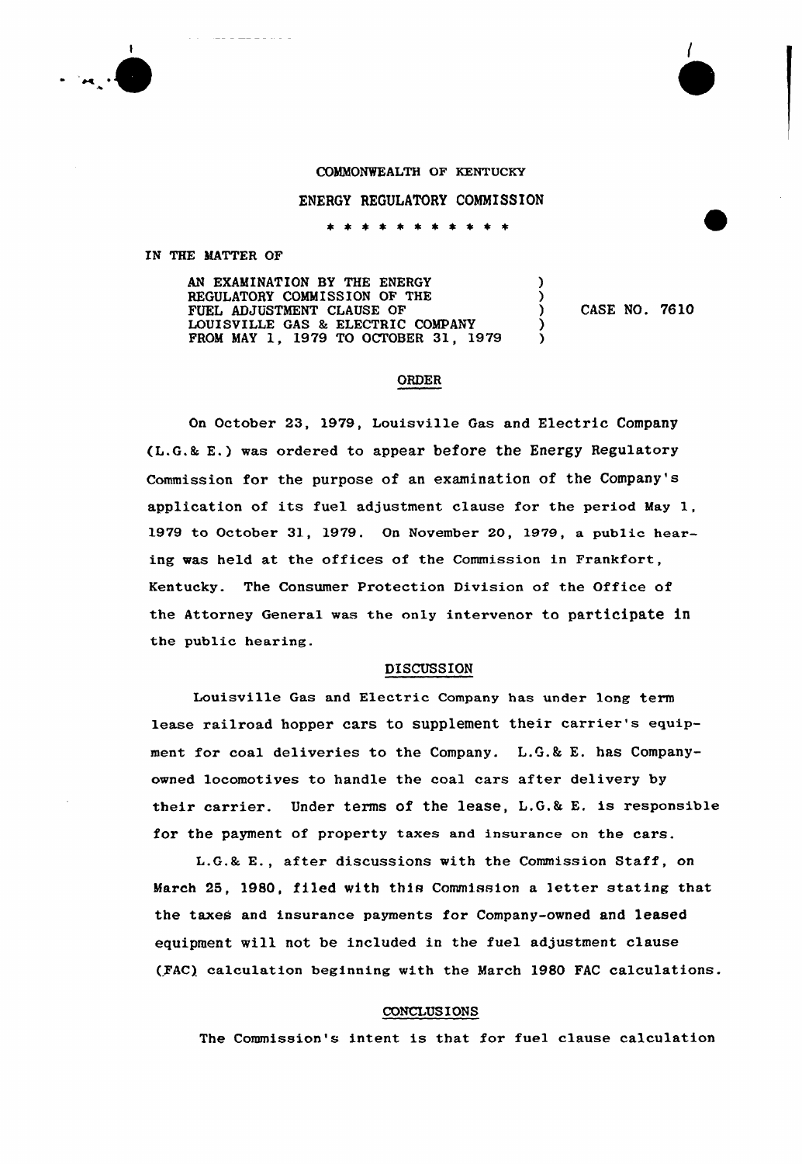

## COMMONWEALTH OF KENTUCKY

ENERGY REGULATORY COMMISSION

\* \* \* \* \* \* \* \* \* \* \*

IN THE MATTER OF

AN EXAMINATION BY THE ENERGY REGULATORY COMMISSION OF THE FUEL ADJUSTMENT CLAUSE OF LOUISVILLE GAS % ELECTRIC COMPANY FROM MAY 1, 1979 TO OCTOBER 31, 1979

) CASE NO. 7610

) )

) )

## **ORDER**

On October 23, 1979, Louisville Gas and Electric Company (L.G.& E.) was ordered to appear before the Energy Regulatory Commission for the purpose of an examination of the Company's application of its fuel adjustment clause for the period May 1, 1979 to October 31, 1979. On November 20, 1979, a public hearing was held at the offices of the Commission in Frankfort, Kentucky. The Consumer Protection Division of the Office of the Attorney General was the only intervenor to participate in the public hearing.

### DISCUSSION

Louisville Gas and Electric Company has under long term lease railroad hopper cars to supplement their carrier's equipment for coal deliveries to the Company. L.G.k E. has Companyowned locomotives to handle the coal cars after delivery by their carrier. Under terms of the lease, L.G.& E. is responsible for the payment of property taxes and insurance on the cars.

L.G.8 E., after discussions with the Commission Staff, on March 25, 1980, filed with this Commission a letter stating that the taxes and insurance payments for Company-owned and leased equipment will not be included in the fuel adjustment clause (FAC) calculation beginning with the March 1980 FAC calculations.

#### CONCLUS IONS

The Commission's intent is that for fuel clause calculation